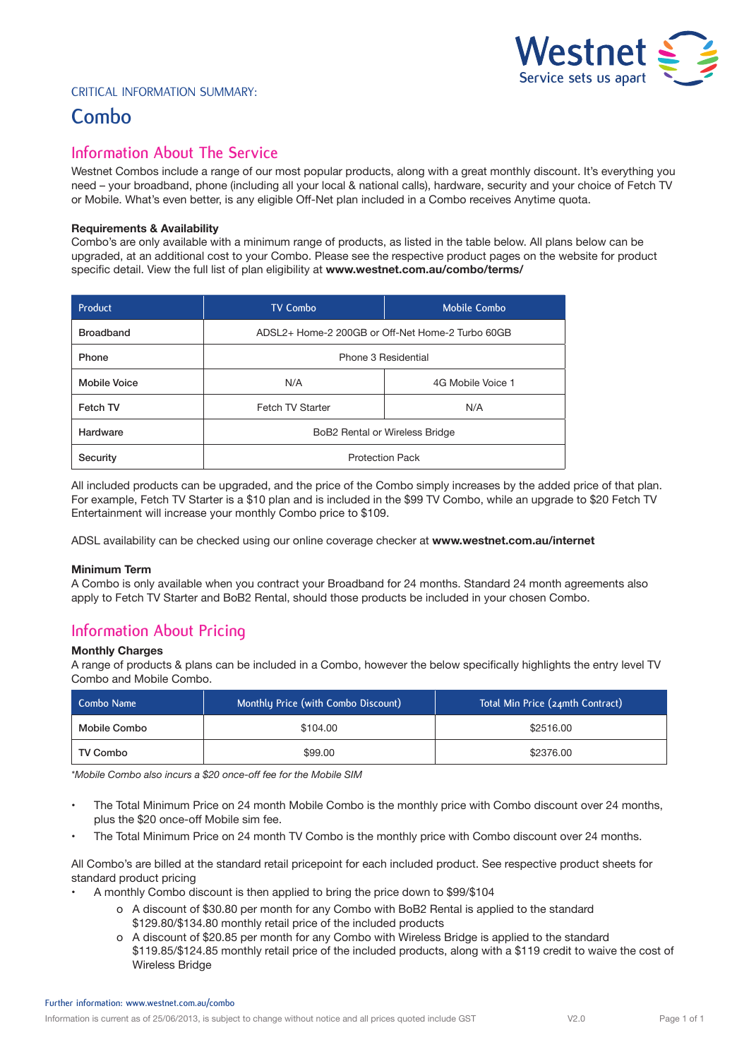

### Critical Information Summary:

# **Combo**

# **Information About The Service**

Westnet Combos include a range of our most popular products, along with a great monthly discount. It's everything you need – your broadband, phone (including all your local & national calls), hardware, security and your choice of Fetch TV or Mobile. What's even better, is any eligible Off-Net plan included in a Combo receives Anytime quota.

#### **Requirements & Availability**

Combo's are only available with a minimum range of products, as listed in the table below. All plans below can be upgraded, at an additional cost to your Combo. Please see the respective product pages on the website for product specific detail. View the full list of plan eligibility at **www.westnet.com.au/combo/terms/**

| Product             | <b>TV Combo</b>                                  | <b>Mobile Combo</b> |
|---------------------|--------------------------------------------------|---------------------|
| <b>Broadband</b>    | ADSL2+ Home-2 200GB or Off-Net Home-2 Turbo 60GB |                     |
| Phone               | Phone 3 Residential                              |                     |
| <b>Mobile Voice</b> | N/A                                              | 4G Mobile Voice 1   |
| Fetch TV            | Fetch TV Starter                                 | N/A                 |
| Hardware            | BoB2 Rental or Wireless Bridge                   |                     |
| Security            | <b>Protection Pack</b>                           |                     |

All included products can be upgraded, and the price of the Combo simply increases by the added price of that plan. For example, Fetch TV Starter is a \$10 plan and is included in the \$99 TV Combo, while an upgrade to \$20 Fetch TV Entertainment will increase your monthly Combo price to \$109.

ADSL availability can be checked using our online coverage checker at **www.westnet.com.au/internet**

#### **Minimum Term**

A Combo is only available when you contract your Broadband for 24 months. Standard 24 month agreements also apply to Fetch TV Starter and BoB2 Rental, should those products be included in your chosen Combo.

# **Information About Pricing**

#### **Monthly Charges**

A range of products & plans can be included in a Combo, however the below specifically highlights the entry level TV Combo and Mobile Combo.

| Combo Name   | Monthly Price (with Combo Discount) | Total Min Price (24mth Contract) |
|--------------|-------------------------------------|----------------------------------|
| Mobile Combo | \$104.00                            | \$2516.00                        |
| TV Combo     | \$99.00                             | \$2376.00                        |

*\*Mobile Combo also incurs a \$20 once-off fee for the Mobile SIM*

- The Total Minimum Price on 24 month Mobile Combo is the monthly price with Combo discount over 24 months, plus the \$20 once-off Mobile sim fee.
- The Total Minimum Price on 24 month TV Combo is the monthly price with Combo discount over 24 months.

All Combo's are billed at the standard retail pricepoint for each included product. See respective product sheets for standard product pricing

- A monthly Combo discount is then applied to bring the price down to \$99/\$104
	- o A discount of \$30.80 per month for any Combo with BoB2 Rental is applied to the standard \$129.80/\$134.80 monthly retail price of the included products
	- o A discount of \$20.85 per month for any Combo with Wireless Bridge is applied to the standard \$119.85/\$124.85 monthly retail price of the included products, along with a \$119 credit to waive the cost of Wireless Bridge